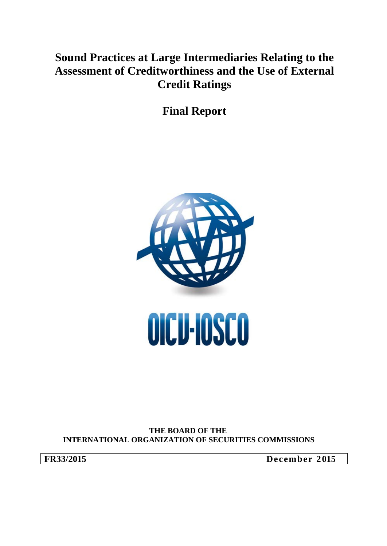# **Sound Practices at Large Intermediaries Relating to the Assessment of Creditworthiness and the Use of External Credit Ratings**

**Final Report**



#### **THE BOARD OF THE INTERNATIONAL ORGANIZATION OF SECURITIES COMMISSIONS**

**FR33/2015 December 2015**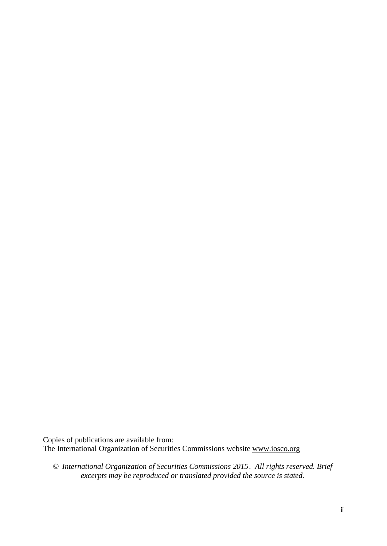Copies of publications are available from: The International Organization of Securities Commissions website www.iosco.org

© *International Organization of Securities Commissions 2015. All rights reserved. Brief excerpts may be reproduced or translated provided the source is stated.*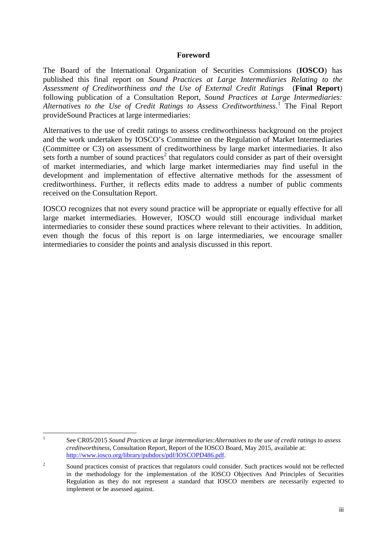#### **Foreword**

The Board of the International Organization of Securities Commissions (**IOSCO**) has published this final report on *Sound Practices at Large Intermediaries Relating to the Assessment of Creditworthiness and the Use of External Credit Ratings* (**Final Report**) following publication of a Consultation Report, *Sound Practices at Large Intermediaries: Alternatives to the Use of Credit Ratings to Assess Creditworthiness*. [1](#page-2-0) The Final Report provideSound Practices at large intermediaries:

Alternatives to the use of credit ratings to assess creditworthinesss background on the project and the work undertaken by IOSCO's Committee on the Regulation of Market Intermediaries (Committee or C3) on assessment of creditworthiness by large market intermediaries. It also sets forth a number of sound practices<sup>[2](#page-2-1)</sup> that regulators could consider as part of their oversight of market intermediaries, and which large market intermediaries may find useful in the development and implementation of effective alternative methods for the assessment of creditworthiness. Further, it reflects edits made to address a number of public comments received on the Consultation Report.

IOSCO recognizes that not every sound practice will be appropriate or equally effective for all large market intermediaries. However, IOSCO would still encourage individual market intermediaries to consider these sound practices where relevant to their activities. In addition, even though the focus of this report is on large intermediaries, we encourage smaller intermediaries to consider the points and analysis discussed in this report.

<span id="page-2-0"></span> $\mathbf{1}$ 

<sup>1</sup> See CR05/2015 *Sound Practices at large intermediaries:Alternatives to the use of credit ratings to assess creditworthiness*, Consultation Report, Report of the IOSCO Board, May 2015, available at: [http://www.iosco.org/library/pubdocs/pdf/IOSCOPD486.pdf.](http://www.iosco.org/library/pubdocs/pdf/IOSCOPD486.pdf) 

<span id="page-2-1"></span><sup>&</sup>lt;sup>2</sup> Sound practices consist of practices that regulators could consider. Such practices would not be reflected in the methodology for the implementation of the IOSCO Objectives And Principles of Securities Regulation as they do not represent a standard that IOSCO members are necessarily expected to implement or be assessed against.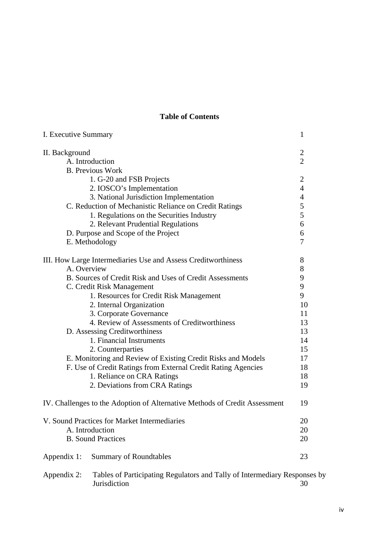### **Table of Contents**

| I. Executive Summary                                                                     |                                  |  |  |
|------------------------------------------------------------------------------------------|----------------------------------|--|--|
| II. Background                                                                           |                                  |  |  |
| A. Introduction                                                                          | $\overline{2}$<br>$\overline{2}$ |  |  |
| <b>B.</b> Previous Work                                                                  |                                  |  |  |
| 1. G-20 and FSB Projects                                                                 | $\overline{2}$                   |  |  |
| 2. IOSCO's Implementation                                                                | $\overline{4}$                   |  |  |
| 3. National Jurisdiction Implementation                                                  | $\overline{4}$                   |  |  |
| C. Reduction of Mechanistic Reliance on Credit Ratings                                   | 5                                |  |  |
| 1. Regulations on the Securities Industry                                                | 5                                |  |  |
| 2. Relevant Prudential Regulations                                                       | 6                                |  |  |
| D. Purpose and Scope of the Project                                                      | 6                                |  |  |
| E. Methodology                                                                           | 7                                |  |  |
| III. How Large Intermediaries Use and Assess Creditworthiness                            | 8                                |  |  |
| A. Overview                                                                              | 8                                |  |  |
| B. Sources of Credit Risk and Uses of Credit Assessments                                 | 9                                |  |  |
| C. Credit Risk Management                                                                | 9                                |  |  |
| 1. Resources for Credit Risk Management                                                  | 9                                |  |  |
| 2. Internal Organization                                                                 | 10                               |  |  |
| 3. Corporate Governance                                                                  | 11                               |  |  |
| 4. Review of Assessments of Creditworthiness                                             | 13                               |  |  |
| D. Assessing Creditworthiness                                                            | 13                               |  |  |
| 1. Financial Instruments                                                                 | 14                               |  |  |
| 2. Counterparties                                                                        | 15                               |  |  |
| E. Monitoring and Review of Existing Credit Risks and Models                             | 17                               |  |  |
| F. Use of Credit Ratings from External Credit Rating Agencies                            | 18                               |  |  |
| 1. Reliance on CRA Ratings                                                               | 18                               |  |  |
| 2. Deviations from CRA Ratings                                                           | 19                               |  |  |
| IV. Challenges to the Adoption of Alternative Methods of Credit Assessment               | 19                               |  |  |
| V. Sound Practices for Market Intermediaries                                             |                                  |  |  |
| A. Introduction                                                                          |                                  |  |  |
| <b>B.</b> Sound Practices                                                                | 20                               |  |  |
| Appendix 1:<br><b>Summary of Roundtables</b>                                             | 23                               |  |  |
| Tables of Participating Regulators and Tally of Intermediary Responses by<br>Appendix 2: |                                  |  |  |

Jurisdiction 30

iv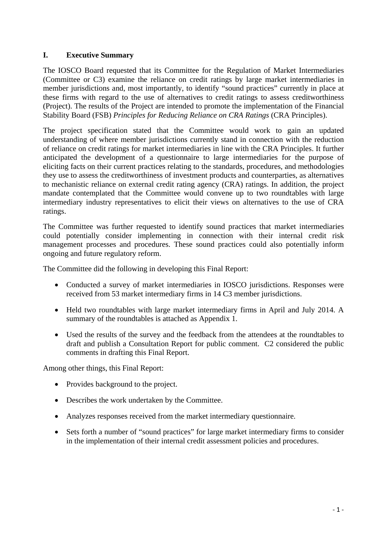#### **I. Executive Summary**

The IOSCO Board requested that its Committee for the Regulation of Market Intermediaries (Committee or C3) examine the reliance on credit ratings by large market intermediaries in member jurisdictions and, most importantly, to identify "sound practices" currently in place at these firms with regard to the use of alternatives to credit ratings to assess creditworthiness (Project). The results of the Project are intended to promote the implementation of the Financial Stability Board (FSB) *Principles for Reducing Reliance on CRA Ratings* (CRA Principles).

The project specification stated that the Committee would work to gain an updated understanding of where member jurisdictions currently stand in connection with the reduction of reliance on credit ratings for market intermediaries in line with the CRA Principles. It further anticipated the development of a questionnaire to large intermediaries for the purpose of eliciting facts on their current practices relating to the standards, procedures, and methodologies they use to assess the creditworthiness of investment products and counterparties, as alternatives to mechanistic reliance on external credit rating agency (CRA) ratings. In addition, the project mandate contemplated that the Committee would convene up to two roundtables with large intermediary industry representatives to elicit their views on alternatives to the use of CRA ratings.

The Committee was further requested to identify sound practices that market intermediaries could potentially consider implementing in connection with their internal credit risk management processes and procedures. These sound practices could also potentially inform ongoing and future regulatory reform.

The Committee did the following in developing this Final Report:

- Conducted a survey of market intermediaries in IOSCO jurisdictions. Responses were received from 53 market intermediary firms in 14 C3 member jurisdictions.
- Held two roundtables with large market intermediary firms in April and July 2014. A summary of the roundtables is attached as Appendix 1.
- Used the results of the survey and the feedback from the attendees at the roundtables to draft and publish a Consultation Report for public comment. C2 considered the public comments in drafting this Final Report.

Among other things, this Final Report:

- Provides background to the project.
- Describes the work undertaken by the Committee.
- Analyzes responses received from the market intermediary questionnaire.
- Sets forth a number of "sound practices" for large market intermediary firms to consider in the implementation of their internal credit assessment policies and procedures.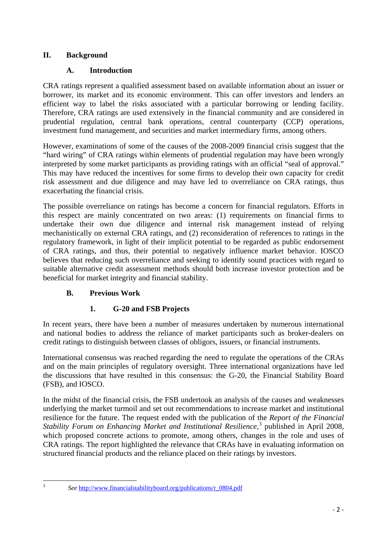### **II. Background**

### **A. Introduction**

CRA ratings represent a qualified assessment based on available information about an issuer or borrower, its market and its economic environment. This can offer investors and lenders an efficient way to label the risks associated with a particular borrowing or lending facility. Therefore, CRA ratings are used extensively in the financial community and are considered in prudential regulation, central bank operations, central counterparty (CCP) operations, investment fund management, and securities and market intermediary firms, among others.

However, examinations of some of the causes of the 2008-2009 financial crisis suggest that the "hard wiring" of CRA ratings within elements of prudential regulation may have been wrongly interpreted by some market participants as providing ratings with an official "seal of approval." This may have reduced the incentives for some firms to develop their own capacity for credit risk assessment and due diligence and may have led to overreliance on CRA ratings, thus exacerbating the financial crisis.

The possible overreliance on ratings has become a concern for financial regulators. Efforts in this respect are mainly concentrated on two areas: (1) requirements on financial firms to undertake their own due diligence and internal risk management instead of relying mechanistically on external CRA ratings, and (2) reconsideration of references to ratings in the regulatory framework, in light of their implicit potential to be regarded as public endorsement of CRA ratings, and thus, their potential to negatively influence market behavior. IOSCO believes that reducing such overreliance and seeking to identify sound practices with regard to suitable alternative credit assessment methods should both increase investor protection and be beneficial for market integrity and financial stability.

### **B. Previous Work**

### **1. G-20 and FSB Projects**

In recent years, there have been a number of measures undertaken by numerous international and national bodies to address the reliance of market participants such as broker-dealers on credit ratings to distinguish between classes of obligors, issuers, or financial instruments.

International consensus was reached regarding the need to regulate the operations of the CRAs and on the main principles of regulatory oversight. Three international organizations have led the discussions that have resulted in this consensus: the G-20, the Financial Stability Board (FSB), and IOSCO.

In the midst of the financial crisis, the FSB undertook an analysis of the causes and weaknesses underlying the market turmoil and set out recommendations to increase market and institutional resilience for the future. The request ended with the publication of the *Report of the Financial Stability Forum on Enhancing Market and Institutional Resilience*, [3](#page-5-0) published in April 2008, which proposed concrete actions to promote, among others, changes in the role and uses of CRA ratings. The report highlighted the relevance that CRAs have in evaluating information on structured financial products and the reliance placed on their ratings by investors.

<span id="page-5-0"></span> $\overline{3}$ 

See [http://www.financialstabilityboard.org/publications/r\\_0804.pdf](http://www.financialstabilityboard.org/publications/r_0804.pdf)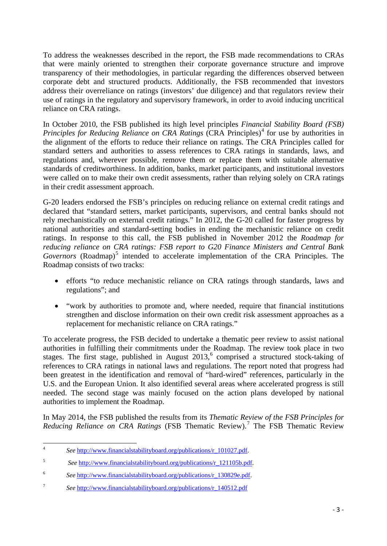To address the weaknesses described in the report, the FSB made recommendations to CRAs that were mainly oriented to strengthen their corporate governance structure and improve transparency of their methodologies, in particular regarding the differences observed between corporate debt and structured products. Additionally, the FSB recommended that investors address their overreliance on ratings (investors' due diligence) and that regulators review their use of ratings in the regulatory and supervisory framework, in order to avoid inducing uncritical reliance on CRA ratings.

In October 2010, the FSB published its high level principles *Financial Stability Board (FSB) Principles for Reducing Reliance on CRA Ratings* (CRA Principles)<sup>[4](#page-6-0)</sup> for use by authorities in the alignment of the efforts to reduce their reliance on ratings. The CRA Principles called for standard setters and authorities to assess references to CRA ratings in standards, laws, and regulations and, wherever possible, remove them or replace them with suitable alternative standards of creditworthiness. In addition, banks, market participants, and institutional investors were called on to make their own credit assessments, rather than relying solely on CRA ratings in their credit assessment approach.

G-20 leaders endorsed the FSB's principles on reducing reliance on external credit ratings and declared that "standard setters, market participants, supervisors, and central banks should not rely mechanistically on external credit ratings." In 2012, the G-20 called for faster progress by national authorities and standard-setting bodies in ending the mechanistic reliance on credit ratings. In response to this call, the FSB published in November 2012 the *Roadmap for reducing reliance on CRA ratings: FSB report to G20 Finance Ministers and Central Bank Governors* (Roadmap)<sup>[5](#page-6-1)</sup> intended to accelerate implementation of the CRA Principles. The Roadmap consists of two tracks:

- efforts "to reduce mechanistic reliance on CRA ratings through standards, laws and regulations"; and
- "work by authorities to promote and, where needed, require that financial institutions strengthen and disclose information on their own credit risk assessment approaches as a replacement for mechanistic reliance on CRA ratings."

To accelerate progress, the FSB decided to undertake a thematic peer review to assist national authorities in fulfilling their commitments under the Roadmap. The review took place in two stages. The first stage, published in August  $2013$ , comprised a structured stock-taking of references to CRA ratings in national laws and regulations. The report noted that progress had been greatest in the identification and removal of "hard-wired" references, particularly in the U.S. and the European Union. It also identified several areas where accelerated progress is still needed. The second stage was mainly focused on the action plans developed by national authorities to implement the Roadmap.

In May 2014, the FSB published the results from its *Thematic Review of the FSB Principles for Reducing Reliance on CRA Ratings* (FSB Thematic Review).[7](#page-6-3) The FSB Thematic Review

<span id="page-6-0"></span> $\overline{4}$ See [http://www.financialstabilityboard.org/publications/r\\_101027.pdf.](http://www.financialstabilityboard.org/publications/r_101027.pdf)

<span id="page-6-1"></span><sup>5</sup> *See* [http://www.financialstabilityboard.org/publications/r\\_121105b.pdf.](http://www.financialstabilityboard.org/publications/r_121105b.pdf)

<span id="page-6-2"></span><sup>6</sup> *See* [http://www.financialstabilityboard.org/publications/r\\_130829e.pdf.](http://www.financialstabilityboard.org/publications/r_130829e.pdf)

<span id="page-6-3"></span><sup>7</sup> *See* [http://www.financialstabilityboard.org/publications/r\\_140512.pdf](http://www.financialstabilityboard.org/publications/r_140512.pdf)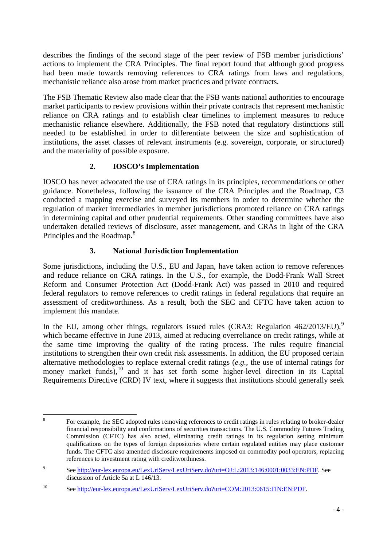describes the findings of the second stage of the peer review of FSB member jurisdictions' actions to implement the CRA Principles. The final report found that although good progress had been made towards removing references to CRA ratings from laws and regulations, mechanistic reliance also arose from market practices and private contracts.

The FSB Thematic Review also made clear that the FSB wants national authorities to encourage market participants to review provisions within their private contracts that represent mechanistic reliance on CRA ratings and to establish clear timelines to implement measures to reduce mechanistic reliance elsewhere. Additionally, the FSB noted that regulatory distinctions still needed to be established in order to differentiate between the size and sophistication of institutions, the asset classes of relevant instruments (e.g. sovereign, corporate, or structured) and the materiality of possible exposure.

### **2. IOSCO's Implementation**

IOSCO has never advocated the use of CRA ratings in its principles, recommendations or other guidance. Nonetheless, following the issuance of the CRA Principles and the Roadmap, C3 conducted a mapping exercise and surveyed its members in order to determine whether the regulation of market intermediaries in member jurisdictions promoted reliance on CRA ratings in determining capital and other prudential requirements. Other standing committees have also undertaken detailed reviews of disclosure, asset management, and CRAs in light of the CRA Principles and the Roadmap.<sup>[8](#page-7-0)</sup>

### **3. National Jurisdiction Implementation**

Some jurisdictions, including the U.S., EU and Japan, have taken action to remove references and reduce reliance on CRA ratings. In the U.S., for example, the Dodd-Frank Wall Street Reform and Consumer Protection Act (Dodd-Frank Act) was passed in 2010 and required federal regulators to remove references to credit ratings in federal regulations that require an assessment of creditworthiness. As a result, both the SEC and CFTC have taken action to implement this mandate.

In the EU, among other things, regulators issued rules (CRA3: Regulation  $462/2013/EU$ ),<sup>[9](#page-7-1)</sup> which became effective in June 2013, aimed at reducing overreliance on credit ratings, while at the same time improving the quality of the rating process. The rules require financial institutions to strengthen their own credit risk assessments. In addition, the EU proposed certain alternative methodologies to replace external credit ratings (*e.g.*, the use of internal ratings for money market funds),<sup>[10](#page-7-2)</sup> and it has set forth some higher-level direction in its Capital Requirements Directive (CRD) IV text, where it suggests that institutions should generally seek

<span id="page-7-0"></span>8 For example, the SEC adopted rules removing references to credit ratings in rules relating to broker-dealer financial responsibility and confirmations of securities transactions. The U.S. Commodity Futures Trading Commission (CFTC) has also acted, eliminating credit ratings in its regulation setting minimum qualifications on the types of foreign depositories where certain regulated entities may place customer funds. The CFTC also amended disclosure requirements imposed on commodity pool operators, replacing references to investment rating with creditworthiness.

<span id="page-7-1"></span><sup>9</sup> See [http://eur-lex.europa.eu/LexUriServ/LexUriServ.do?uri=OJ:L:2013:146:0001:0033:EN:PDF.](http://eur-lex.europa.eu/LexUriServ/LexUriServ.do?uri=OJ:L:2013:146:0001:0033:EN:PDF) See discussion of Article 5a at L 146/13.

<span id="page-7-2"></span><sup>10</sup> See [http://eur-lex.europa.eu/LexUriServ/LexUriServ.do?uri=COM:2013:0615:FIN:EN:PDF.](http://eur-lex.europa.eu/LexUriServ/LexUriServ.do?uri=COM:2013:0615:FIN:EN:PDF)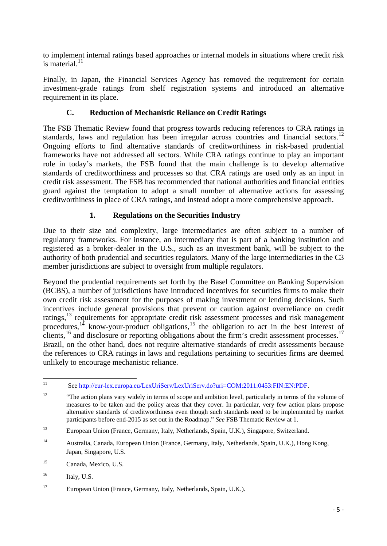to implement internal ratings based approaches or internal models in situations where credit risk is material. $^{11}$  $^{11}$  $^{11}$ 

Finally, in Japan, the Financial Services Agency has removed the requirement for certain investment-grade ratings from shelf registration systems and introduced an alternative requirement in its place.

### **C. Reduction of Mechanistic Reliance on Credit Ratings**

The FSB Thematic Review found that progress towards reducing references to CRA ratings in standards, laws and regulation has been irregular across countries and financial sectors.<sup>[12](#page-8-1)</sup> Ongoing efforts to find alternative standards of creditworthiness in risk-based prudential frameworks have not addressed all sectors. While CRA ratings continue to play an important role in today's markets, the FSB found that the main challenge is to develop alternative standards of creditworthiness and processes so that CRA ratings are used only as an input in credit risk assessment. The FSB has recommended that national authorities and financial entities guard against the temptation to adopt a small number of alternative actions for assessing creditworthiness in place of CRA ratings, and instead adopt a more comprehensive approach.

### **1. Regulations on the Securities Industry**

Due to their size and complexity, large intermediaries are often subject to a number of regulatory frameworks. For instance, an intermediary that is part of a banking institution and registered as a broker-dealer in the U.S., such as an investment bank, will be subject to the authority of both prudential and securities regulators. Many of the large intermediaries in the C3 member jurisdictions are subject to oversight from multiple regulators.

Beyond the prudential requirements set forth by the Basel Committee on Banking Supervision (BCBS), a number of jurisdictions have introduced incentives for securities firms to make their own credit risk assessment for the purposes of making investment or lending decisions. Such incentives include general provisions that prevent or caution against overreliance on credit ratings,<sup>[13](#page-8-2)</sup> requirements for appropriate credit risk assessment processes and risk management procedures,<sup>[14](#page-8-3)</sup> know-your-product obligations,<sup>[15](#page-8-4)</sup> the obligation to act in the best interest of clients,<sup>[16](#page-8-5)</sup> and disclosure or reporting obligations about the firm's credit assessment processes.<sup>[17](#page-8-6)</sup> Brazil, on the other hand, does not require alternative standards of credit assessments because the references to CRA ratings in laws and regulations pertaining to securities firms are deemed unlikely to encourage mechanistic reliance.

<span id="page-8-0"></span> $11$ <sup>11</sup> Se[e http://eur-lex.europa.eu/LexUriServ/LexUriServ.do?uri=COM:2011:0453:FIN:EN:PDF.](http://eur-lex.europa.eu/LexUriServ/LexUriServ.do?uri=COM:2011:0453:FIN:EN:PDF)

<span id="page-8-1"></span><sup>&</sup>lt;sup>12</sup> "The action plans vary widely in terms of scope and ambition level, particularly in terms of the volume of measures to be taken and the policy areas that they cover. In particular, very few action plans propose alternative standards of creditworthiness even though such standards need to be implemented by market participants before end-2015 as set out in the Roadmap." *See* FSB Thematic Review at 1.

<span id="page-8-2"></span><sup>13</sup> European Union (France, Germany, Italy, Netherlands, Spain, U.K.), Singapore, Switzerland.

<span id="page-8-3"></span><sup>14</sup> Australia, Canada, European Union (France, Germany, Italy, Netherlands, Spain, U.K.), Hong Kong, Japan, Singapore, U.S.

<span id="page-8-4"></span><sup>15</sup> Canada, Mexico, U.S.

<span id="page-8-5"></span> $^{16}$  Italy, U.S.

<span id="page-8-6"></span><sup>17</sup> European Union (France, Germany, Italy, Netherlands, Spain, U.K.).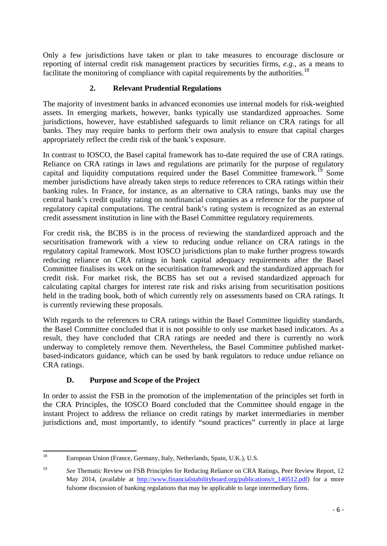Only a few jurisdictions have taken or plan to take measures to encourage disclosure or reporting of internal credit risk management practices by securities firms, *e.g.*, as a means to facilitate the monitoring of compliance with capital requirements by the authorities.<sup>[18](#page-9-0)</sup>

### **2. Relevant Prudential Regulations**

The majority of investment banks in advanced economies use internal models for risk-weighted assets. In emerging markets, however, banks typically use standardized approaches. Some jurisdictions, however, have established safeguards to limit reliance on CRA ratings for all banks. They may require banks to perform their own analysis to ensure that capital charges appropriately reflect the credit risk of the bank's exposure.

In contrast to IOSCO, the Basel capital framework has to-date required the use of CRA ratings. Reliance on CRA ratings in laws and regulations are primarily for the purpose of regulatory capital and liquidity computations required under the Basel Committee framework.<sup>[19](#page-9-1)</sup> Some member jurisdictions have already taken steps to reduce references to CRA ratings within their banking rules. In France, for instance, as an alternative to CRA ratings, banks may use the central bank's credit quality rating on nonfinancial companies as a reference for the purpose of regulatory capital computations. The central bank's rating system is recognized as an external credit assessment institution in line with the Basel Committee regulatory requirements.

For credit risk, the BCBS is in the process of reviewing the standardized approach and the securitisation framework with a view to reducing undue reliance on CRA ratings in the regulatory capital framework. Most IOSCO jurisdictions plan to make further progress towards reducing reliance on CRA ratings in bank capital adequacy requirements after the Basel Committee finalises its work on the securitisation framework and the standardized approach for credit risk. For market risk, the BCBS has set out a revised standardized approach for calculating capital charges for interest rate risk and risks arising from securitisation positions held in the trading book, both of which currently rely on assessments based on CRA ratings. It is currently reviewing these proposals.

With regards to the references to CRA ratings within the Basel Committee liquidity standards, the Basel Committee concluded that it is not possible to only use market based indicators. As a result, they have concluded that CRA ratings are needed and there is currently no work underway to completely remove them. Nevertheless, the Basel Committee published marketbased-indicators guidance, which can be used by bank regulators to reduce undue reliance on CRA ratings.

### **D. Purpose and Scope of the Project**

In order to assist the FSB in the promotion of the implementation of the principles set forth in the CRA Principles, the IOSCO Board concluded that the Committee should engage in the instant Project to address the reliance on credit ratings by market intermediaries in member jurisdictions and, most importantly, to identify "sound practices" currently in place at large

<span id="page-9-0"></span> $\overline{18}$ <sup>18</sup> European Union (France, Germany, Italy, Netherlands, Spain, U.K.), U.S.

<span id="page-9-1"></span><sup>&</sup>lt;sup>19</sup> *See* Thematic Review on FSB Principles for Reducing Reliance on CRA Ratings, Peer Review Report, 12 May 2014, (available at [http://www.financialstabilityboard.org/publications/r\\_140512.pdf\)](http://www.financialstabilityboard.org/publications/r_140512.pdf) for a more fulsome discussion of banking regulations that may be applicable to large intermediary firms.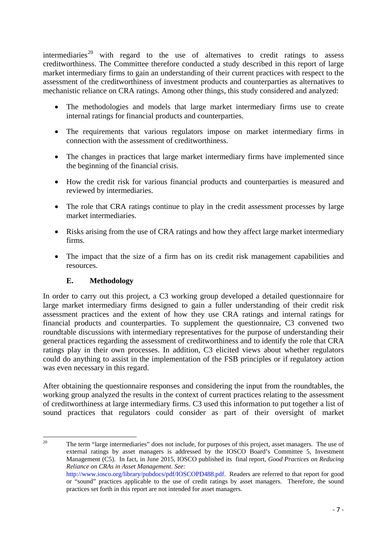intermediaries<sup>[20](#page-10-0)</sup> with regard to the use of alternatives to credit ratings to assess creditworthiness. The Committee therefore conducted a study described in this report of large market intermediary firms to gain an understanding of their current practices with respect to the assessment of the creditworthiness of investment products and counterparties as alternatives to mechanistic reliance on CRA ratings. Among other things, this study considered and analyzed:

- The methodologies and models that large market intermediary firms use to create internal ratings for financial products and counterparties.
- The requirements that various regulators impose on market intermediary firms in connection with the assessment of creditworthiness.
- The changes in practices that large market intermediary firms have implemented since the beginning of the financial crisis.
- How the credit risk for various financial products and counterparties is measured and reviewed by intermediaries.
- The role that CRA ratings continue to play in the credit assessment processes by large market intermediaries.
- Risks arising from the use of CRA ratings and how they affect large market intermediary firms.
- The impact that the size of a firm has on its credit risk management capabilities and resources.

### **E. Methodology**

In order to carry out this project, a C3 working group developed a detailed questionnaire for large market intermediary firms designed to gain a fuller understanding of their credit risk assessment practices and the extent of how they use CRA ratings and internal ratings for financial products and counterparties. To supplement the questionnaire, C3 convened two roundtable discussions with intermediary representatives for the purpose of understanding their general practices regarding the assessment of creditworthiness and to identify the role that CRA ratings play in their own processes. In addition, C3 elicited views about whether regulators could do anything to assist in the implementation of the FSB principles or if regulatory action was even necessary in this regard.

After obtaining the questionnaire responses and considering the input from the roundtables, the working group analyzed the results in the context of current practices relating to the assessment of creditworthiness at large intermediary firms. C3 used this information to put together a list of sound practices that regulators could consider as part of their oversight of market

<span id="page-10-0"></span><sup>20</sup> <sup>20</sup> The term "large intermediaries" does not include, for purposes of this project, asset managers. The use of external ratings by asset managers is addressed by the IOSCO Board's Committee 5, Investment Management (C5). In fact, in June 2015, IOSCO published its final report, *Good Practices on Reducing Reliance on CRAs in Asset Management*. *See:* [http://www.iosco.org/library/pubdocs/pdf/IOSCOPD488.pdf.](http://www.iosco.org/library/pubdocs/pdf/IOSCOPD488.pdf) Readers are referred to that report for good or "sound" practices applicable to the use of credit ratings by asset managers. Therefore, the sound practices set forth in this report are not intended for asset managers.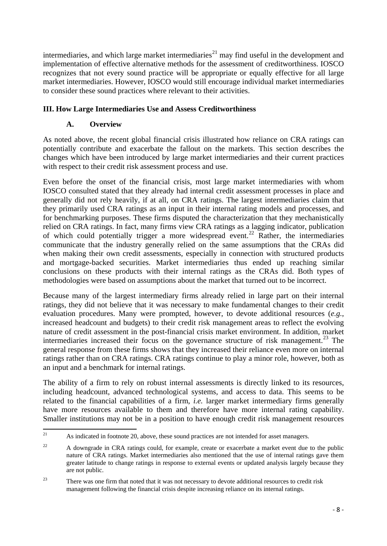intermediaries, and which large market intermediaries<sup>[21](#page-11-0)</sup> may find useful in the development and implementation of effective alternative methods for the assessment of creditworthiness. IOSCO recognizes that not every sound practice will be appropriate or equally effective for all large market intermediaries. However, IOSCO would still encourage individual market intermediaries to consider these sound practices where relevant to their activities.

### **III. How Large Intermediaries Use and Assess Creditworthiness**

### **A. Overview**

As noted above, the recent global financial crisis illustrated how reliance on CRA ratings can potentially contribute and exacerbate the fallout on the markets. This section describes the changes which have been introduced by large market intermediaries and their current practices with respect to their credit risk assessment process and use.

Even before the onset of the financial crisis, most large market intermediaries with whom IOSCO consulted stated that they already had internal credit assessment processes in place and generally did not rely heavily, if at all, on CRA ratings. The largest intermediaries claim that they primarily used CRA ratings as an input in their internal rating models and processes, and for benchmarking purposes. These firms disputed the characterization that they mechanistically relied on CRA ratings. In fact, many firms view CRA ratings as a lagging indicator, publication of which could potentially trigger a more widespread event.<sup>[22](#page-11-1)</sup> Rather, the intermediaries communicate that the industry generally relied on the same assumptions that the CRAs did when making their own credit assessments, especially in connection with structured products and mortgage-backed securities. Market intermediaries thus ended up reaching similar conclusions on these products with their internal ratings as the CRAs did. Both types of methodologies were based on assumptions about the market that turned out to be incorrect.

Because many of the largest intermediary firms already relied in large part on their internal ratings, they did not believe that it was necessary to make fundamental changes to their credit evaluation procedures. Many were prompted, however, to devote additional resources (*e.g.*, increased headcount and budgets) to their credit risk management areas to reflect the evolving nature of credit assessment in the post-financial crisis market environment. In addition, market intermediaries increased their focus on the governance structure of risk management.<sup>[23](#page-11-2)</sup> The general response from these firms shows that they increased their reliance even more on internal ratings rather than on CRA ratings. CRA ratings continue to play a minor role, however, both as an input and a benchmark for internal ratings.

The ability of a firm to rely on robust internal assessments is directly linked to its resources, including headcount, advanced technological systems, and access to data. This seems to be related to the financial capabilities of a firm, *i.e.* larger market intermediary firms generally have more resources available to them and therefore have more internal rating capability. Smaller institutions may not be in a position to have enough credit risk management resources

<span id="page-11-0"></span> $21$ As indicated in footnote 20, above, these sound practices are not intended for asset managers.

<span id="page-11-1"></span><sup>&</sup>lt;sup>22</sup> A downgrade in CRA ratings could, for example, create or exacerbate a market event due to the public nature of CRA ratings. Market intermediaries also mentioned that the use of internal ratings gave them greater latitude to change ratings in response to external events or updated analysis largely because they are not public.

<span id="page-11-2"></span><sup>&</sup>lt;sup>23</sup> There was one firm that noted that it was not necessary to devote additional resources to credit risk management following the financial crisis despite increasing reliance on its internal ratings.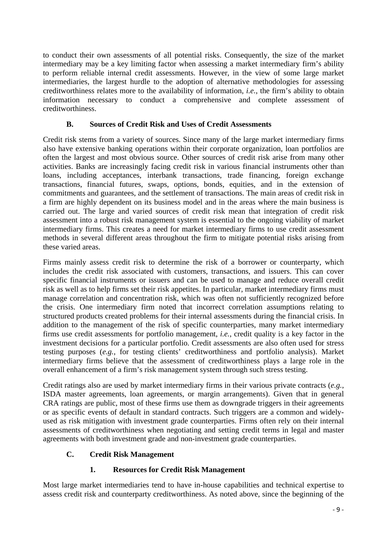to conduct their own assessments of all potential risks. Consequently, the size of the market intermediary may be a key limiting factor when assessing a market intermediary firm's ability to perform reliable internal credit assessments. However, in the view of some large market intermediaries, the largest hurdle to the adoption of alternative methodologies for assessing creditworthiness relates more to the availability of information, *i.e.*, the firm's ability to obtain information necessary to conduct a comprehensive and complete assessment of creditworthiness.

### **B. Sources of Credit Risk and Uses of Credit Assessments**

Credit risk stems from a variety of sources. Since many of the large market intermediary firms also have extensive banking operations within their corporate organization, loan portfolios are often the largest and most obvious source. Other sources of credit risk arise from many other activities. Banks are increasingly facing credit risk in various financial instruments other than loans, including acceptances, interbank transactions, trade financing, foreign exchange transactions, financial futures, swaps, options, bonds, equities, and in the extension of commitments and guarantees, and the settlement of transactions. The main areas of credit risk in a firm are highly dependent on its business model and in the areas where the main business is carried out. The large and varied sources of credit risk mean that integration of credit risk assessment into a robust risk management system is essential to the ongoing viability of market intermediary firms. This creates a need for market intermediary firms to use credit assessment methods in several different areas throughout the firm to mitigate potential risks arising from these varied areas.

Firms mainly assess credit risk to determine the risk of a borrower or counterparty, which includes the credit risk associated with customers, transactions, and issuers. This can cover specific financial instruments or issuers and can be used to manage and reduce overall credit risk as well as to help firms set their risk appetites. In particular, market intermediary firms must manage correlation and concentration risk, which was often not sufficiently recognized before the crisis. One intermediary firm noted that incorrect correlation assumptions relating to structured products created problems for their internal assessments during the financial crisis. In addition to the management of the risk of specific counterparties, many market intermediary firms use credit assessments for portfolio management, *i.e.*, credit quality is a key factor in the investment decisions for a particular portfolio. Credit assessments are also often used for stress testing purposes (*e.g.*, for testing clients' creditworthiness and portfolio analysis). Market intermediary firms believe that the assessment of creditworthiness plays a large role in the overall enhancement of a firm's risk management system through such stress testing.

Credit ratings also are used by market intermediary firms in their various private contracts (*e.g.*, ISDA master agreements, loan agreements, or margin arrangements). Given that in general CRA ratings are public, most of these firms use them as downgrade triggers in their agreements or as specific events of default in standard contracts. Such triggers are a common and widelyused as risk mitigation with investment grade counterparties. Firms often rely on their internal assessments of creditworthiness when negotiating and setting credit terms in legal and master agreements with both investment grade and non-investment grade counterparties.

### **C. Credit Risk Management**

### **1. Resources for Credit Risk Management**

Most large market intermediaries tend to have in-house capabilities and technical expertise to assess credit risk and counterparty creditworthiness. As noted above, since the beginning of the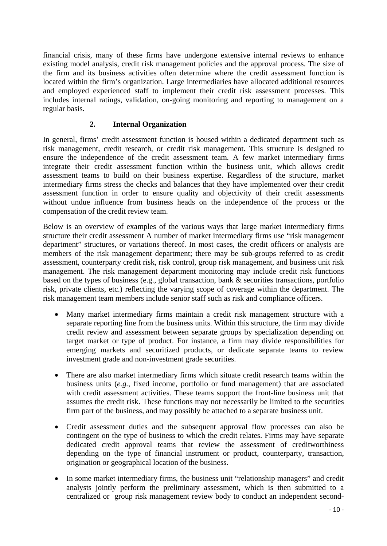financial crisis, many of these firms have undergone extensive internal reviews to enhance existing model analysis, credit risk management policies and the approval process. The size of the firm and its business activities often determine where the credit assessment function is located within the firm's organization. Large intermediaries have allocated additional resources and employed experienced staff to implement their credit risk assessment processes. This includes internal ratings, validation, on-going monitoring and reporting to management on a regular basis.

### **2. Internal Organization**

In general, firms' credit assessment function is housed within a dedicated department such as risk management, credit research, or credit risk management. This structure is designed to ensure the independence of the credit assessment team. A few market intermediary firms integrate their credit assessment function within the business unit, which allows credit assessment teams to build on their business expertise. Regardless of the structure, market intermediary firms stress the checks and balances that they have implemented over their credit assessment function in order to ensure quality and objectivity of their credit assessments without undue influence from business heads on the independence of the process or the compensation of the credit review team.

Below is an overview of examples of the various ways that large market intermediary firms structure their credit assessment A number of market intermediary firms use "risk management department" structures, or variations thereof. In most cases, the credit officers or analysts are members of the risk management department; there may be sub-groups referred to as credit assessment, counterparty credit risk, risk control, group risk management, and business unit risk management. The risk management department monitoring may include credit risk functions based on the types of business (e.g., global transaction, bank & securities transactions, portfolio risk, private clients, etc.) reflecting the varying scope of coverage within the department. The risk management team members include senior staff such as risk and compliance officers.

- Many market intermediary firms maintain a credit risk management structure with a separate reporting line from the business units. Within this structure, the firm may divide credit review and assessment between separate groups by specialization depending on target market or type of product. For instance, a firm may divide responsibilities for emerging markets and securitized products, or dedicate separate teams to review investment grade and non-investment grade securities.
- There are also market intermediary firms which situate credit research teams within the business units (*e.g.*, fixed income, portfolio or fund management) that are associated with credit assessment activities. These teams support the front-line business unit that assumes the credit risk. These functions may not necessarily be limited to the securities firm part of the business, and may possibly be attached to a separate business unit.
- Credit assessment duties and the subsequent approval flow processes can also be contingent on the type of business to which the credit relates. Firms may have separate dedicated credit approval teams that review the assessment of creditworthiness depending on the type of financial instrument or product, counterparty, transaction, origination or geographical location of the business.
- In some market intermediary firms, the business unit "relationship managers" and credit analysts jointly perform the preliminary assessment, which is then submitted to a centralized or group risk management review body to conduct an independent second-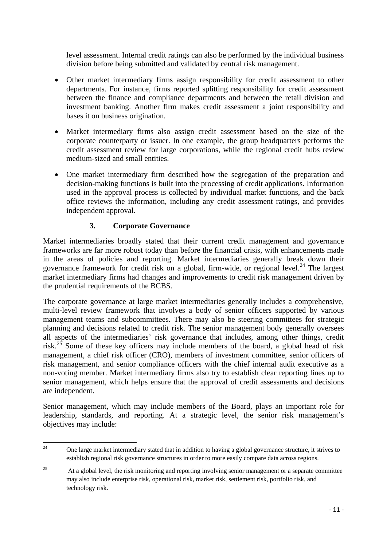level assessment. Internal credit ratings can also be performed by the individual business division before being submitted and validated by central risk management.

- Other market intermediary firms assign responsibility for credit assessment to other departments. For instance, firms reported splitting responsibility for credit assessment between the finance and compliance departments and between the retail division and investment banking. Another firm makes credit assessment a joint responsibility and bases it on business origination.
- Market intermediary firms also assign credit assessment based on the size of the corporate counterparty or issuer. In one example, the group headquarters performs the credit assessment review for large corporations, while the regional credit hubs review medium-sized and small entities.
- One market intermediary firm described how the segregation of the preparation and decision-making functions is built into the processing of credit applications. Information used in the approval process is collected by individual market functions, and the back office reviews the information, including any credit assessment ratings, and provides independent approval.

### **3. Corporate Governance**

Market intermediaries broadly stated that their current credit management and governance frameworks are far more robust today than before the financial crisis, with enhancements made in the areas of policies and reporting. Market intermediaries generally break down their governance framework for credit risk on a global, firm-wide, or regional level. [24](#page-14-0) The largest market intermediary firms had changes and improvements to credit risk management driven by the prudential requirements of the BCBS.

The corporate governance at large market intermediaries generally includes a comprehensive, multi-level review framework that involves a body of senior officers supported by various management teams and subcommittees. There may also be steering committees for strategic planning and decisions related to credit risk. The senior management body generally oversees all aspects of the intermediaries' risk governance that includes, among other things, credit risk.<sup>[25](#page-14-1)</sup> Some of these key officers may include members of the board, a global head of risk management, a chief risk officer (CRO), members of investment committee, senior officers of risk management, and senior compliance officers with the chief internal audit executive as a non-voting member. Market intermediary firms also try to establish clear reporting lines up to senior management, which helps ensure that the approval of credit assessments and decisions are independent.

Senior management, which may include members of the Board, plays an important role for leadership, standards, and reporting. At a strategic level, the senior risk management's objectives may include:

<span id="page-14-0"></span> $24$ <sup>24</sup> One large market intermediary stated that in addition to having a global governance structure, it strives to establish regional risk governance structures in order to more easily compare data across regions.

<span id="page-14-1"></span><sup>&</sup>lt;sup>25</sup> At a global level, the risk monitoring and reporting involving senior management or a separate committee may also include enterprise risk, operational risk, market risk, settlement risk, portfolio risk, and technology risk.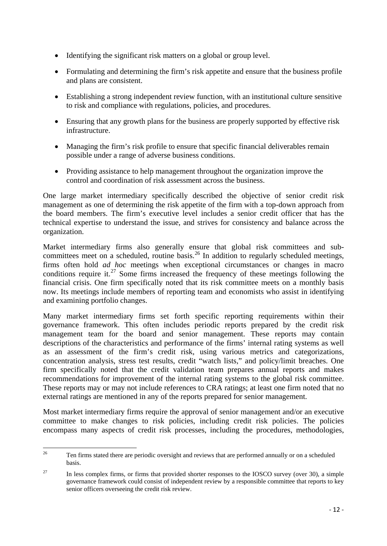- Identifying the significant risk matters on a global or group level.
- Formulating and determining the firm's risk appetite and ensure that the business profile and plans are consistent.
- Establishing a strong independent review function, with an institutional culture sensitive to risk and compliance with regulations, policies, and procedures.
- Ensuring that any growth plans for the business are properly supported by effective risk infrastructure.
- Managing the firm's risk profile to ensure that specific financial deliverables remain possible under a range of adverse business conditions.
- Providing assistance to help management throughout the organization improve the control and coordination of risk assessment across the business.

One large market intermediary specifically described the objective of senior credit risk management as one of determining the risk appetite of the firm with a top-down approach from the board members. The firm's executive level includes a senior credit officer that has the technical expertise to understand the issue, and strives for consistency and balance across the organization.

Market intermediary firms also generally ensure that global risk committees and sub-committees meet on a scheduled, routine basis.<sup>[26](#page-15-0)</sup> In addition to regularly scheduled meetings, firms often hold *ad hoc* meetings when exceptional circumstances or changes in macro conditions require it.<sup>[27](#page-15-1)</sup> Some firms increased the frequency of these meetings following the financial crisis. One firm specifically noted that its risk committee meets on a monthly basis now. Its meetings include members of reporting team and economists who assist in identifying and examining portfolio changes.

Many market intermediary firms set forth specific reporting requirements within their governance framework. This often includes periodic reports prepared by the credit risk management team for the board and senior management. These reports may contain descriptions of the characteristics and performance of the firms' internal rating systems as well as an assessment of the firm's credit risk, using various metrics and categorizations, concentration analysis, stress test results, credit "watch lists," and policy/limit breaches. One firm specifically noted that the credit validation team prepares annual reports and makes recommendations for improvement of the internal rating systems to the global risk committee. These reports may or may not include references to CRA ratings; at least one firm noted that no external ratings are mentioned in any of the reports prepared for senior management.

Most market intermediary firms require the approval of senior management and/or an executive committee to make changes to risk policies, including credit risk policies. The policies encompass many aspects of credit risk processes, including the procedures, methodologies,

<span id="page-15-0"></span> $26$ <sup>26</sup> Ten firms stated there are periodic oversight and reviews that are performed annually or on a scheduled basis.

<span id="page-15-1"></span><sup>&</sup>lt;sup>27</sup> In less complex firms, or firms that provided shorter responses to the IOSCO survey (over 30), a simple governance framework could consist of independent review by a responsible committee that reports to key senior officers overseeing the credit risk review.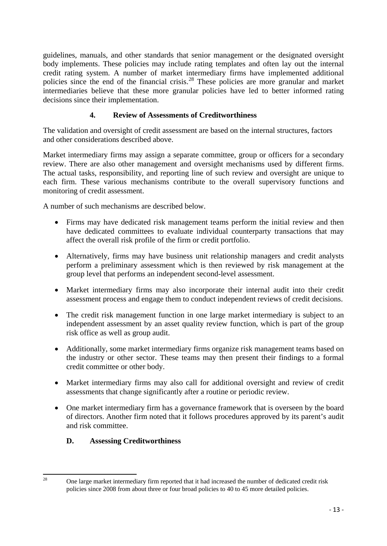guidelines, manuals, and other standards that senior management or the designated oversight body implements. These policies may include rating templates and often lay out the internal credit rating system. A number of market intermediary firms have implemented additional policies since the end of the financial crisis.[28](#page-16-0) These policies are more granular and market intermediaries believe that these more granular policies have led to better informed rating decisions since their implementation.

### **4. Review of Assessments of Creditworthiness**

The validation and oversight of credit assessment are based on the internal structures, factors and other considerations described above.

Market intermediary firms may assign a separate committee, group or officers for a secondary review. There are also other management and oversight mechanisms used by different firms. The actual tasks, responsibility, and reporting line of such review and oversight are unique to each firm. These various mechanisms contribute to the overall supervisory functions and monitoring of credit assessment.

A number of such mechanisms are described below.

- Firms may have dedicated risk management teams perform the initial review and then have dedicated committees to evaluate individual counterparty transactions that may affect the overall risk profile of the firm or credit portfolio.
- Alternatively, firms may have business unit relationship managers and credit analysts perform a preliminary assessment which is then reviewed by risk management at the group level that performs an independent second-level assessment.
- Market intermediary firms may also incorporate their internal audit into their credit assessment process and engage them to conduct independent reviews of credit decisions.
- The credit risk management function in one large market intermediary is subject to an independent assessment by an asset quality review function, which is part of the group risk office as well as group audit.
- Additionally, some market intermediary firms organize risk management teams based on the industry or other sector. These teams may then present their findings to a formal credit committee or other body.
- Market intermediary firms may also call for additional oversight and review of credit assessments that change significantly after a routine or periodic review.
- One market intermediary firm has a governance framework that is overseen by the board of directors. Another firm noted that it follows procedures approved by its parent's audit and risk committee.

#### **D. Assessing Creditworthiness**

<span id="page-16-0"></span> $28$ 

<sup>28</sup> One large market intermediary firm reported that it had increased the number of dedicated credit risk policies since 2008 from about three or four broad policies to 40 to 45 more detailed policies.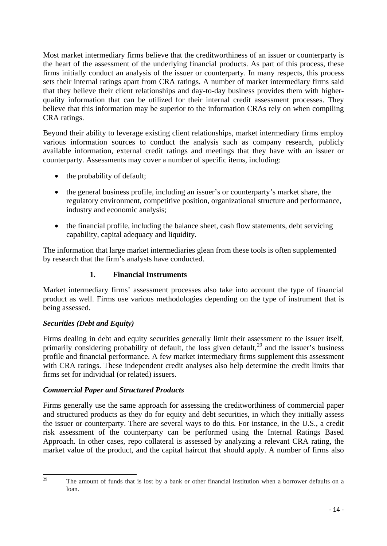Most market intermediary firms believe that the creditworthiness of an issuer or counterparty is the heart of the assessment of the underlying financial products. As part of this process, these firms initially conduct an analysis of the issuer or counterparty. In many respects, this process sets their internal ratings apart from CRA ratings. A number of market intermediary firms said that they believe their client relationships and day-to-day business provides them with higherquality information that can be utilized for their internal credit assessment processes. They believe that this information may be superior to the information CRAs rely on when compiling CRA ratings.

Beyond their ability to leverage existing client relationships, market intermediary firms employ various information sources to conduct the analysis such as company research, publicly available information, external credit ratings and meetings that they have with an issuer or counterparty. Assessments may cover a number of specific items, including:

- the probability of default;
- the general business profile, including an issuer's or counterparty's market share, the regulatory environment, competitive position, organizational structure and performance, industry and economic analysis;
- the financial profile, including the balance sheet, cash flow statements, debt servicing capability, capital adequacy and liquidity.

The information that large market intermediaries glean from these tools is often supplemented by research that the firm's analysts have conducted.

#### **1. Financial Instruments**

Market intermediary firms' assessment processes also take into account the type of financial product as well. Firms use various methodologies depending on the type of instrument that is being assessed.

#### *Securities (Debt and Equity)*

Firms dealing in debt and equity securities generally limit their assessment to the issuer itself, primarily considering probability of default, the loss given default,  $29$  and the issuer's business profile and financial performance. A few market intermediary firms supplement this assessment with CRA ratings. These independent credit analyses also help determine the credit limits that firms set for individual (or related) issuers.

#### *Commercial Paper and Structured Products*

Firms generally use the same approach for assessing the creditworthiness of commercial paper and structured products as they do for equity and debt securities, in which they initially assess the issuer or counterparty. There are several ways to do this. For instance, in the U.S., a credit risk assessment of the counterparty can be performed using the Internal Ratings Based Approach. In other cases, repo collateral is assessed by analyzing a relevant CRA rating, the market value of the product, and the capital haircut that should apply. A number of firms also

<span id="page-17-0"></span><sup>29</sup> 

The amount of funds that is lost by a bank or other financial institution when a borrower defaults on a loan.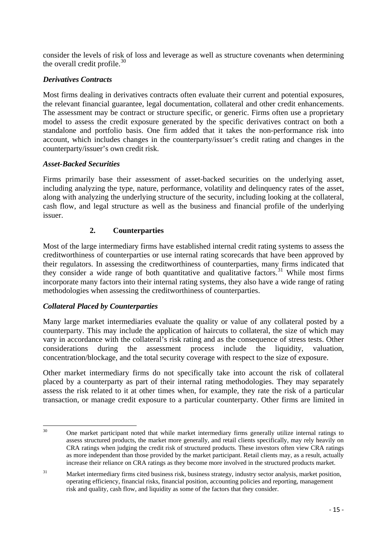consider the levels of risk of loss and leverage as well as structure covenants when determining the overall credit profile. $30$ 

#### *Derivatives Contracts*

Most firms dealing in derivatives contracts often evaluate their current and potential exposures, the relevant financial guarantee, legal documentation, collateral and other credit enhancements. The assessment may be contract or structure specific, or generic. Firms often use a proprietary model to assess the credit exposure generated by the specific derivatives contract on both a standalone and portfolio basis. One firm added that it takes the non-performance risk into account, which includes changes in the counterparty/issuer's credit rating and changes in the counterparty/issuer's own credit risk.

### *Asset-Backed Securities*

Firms primarily base their assessment of asset-backed securities on the underlying asset, including analyzing the type, nature, performance, volatility and delinquency rates of the asset, along with analyzing the underlying structure of the security, including looking at the collateral, cash flow, and legal structure as well as the business and financial profile of the underlying issuer.

### **2. Counterparties**

Most of the large intermediary firms have established internal credit rating systems to assess the creditworthiness of counterparties or use internal rating scorecards that have been approved by their regulators. In assessing the creditworthiness of counterparties, many firms indicated that they consider a wide range of both quantitative and qualitative factors.<sup>[31](#page-18-1)</sup> While most firms incorporate many factors into their internal rating systems, they also have a wide range of rating methodologies when assessing the creditworthiness of counterparties.

#### *Collateral Placed by Counterparties*

Many large market intermediaries evaluate the quality or value of any collateral posted by a counterparty. This may include the application of haircuts to collateral, the size of which may vary in accordance with the collateral's risk rating and as the consequence of stress tests. Other considerations during the assessment process include the liquidity, valuation, concentration/blockage, and the total security coverage with respect to the size of exposure.

Other market intermediary firms do not specifically take into account the risk of collateral placed by a counterparty as part of their internal rating methodologies. They may separately assess the risk related to it at other times when, for example, they rate the risk of a particular transaction, or manage credit exposure to a particular counterparty. Other firms are limited in

<span id="page-18-0"></span><sup>30</sup> 30 One market participant noted that while market intermediary firms generally utilize internal ratings to assess structured products, the market more generally, and retail clients specifically, may rely heavily on CRA ratings when judging the credit risk of structured products. These investors often view CRA ratings as more independent than those provided by the market participant. Retail clients may, as a result, actually increase their reliance on CRA ratings as they become more involved in the structured products market.

<span id="page-18-1"></span><sup>&</sup>lt;sup>31</sup> Market intermediary firms cited business risk, business strategy, industry sector analysis, market position, operating efficiency, financial risks, financial position, accounting policies and reporting, management risk and quality, cash flow, and liquidity as some of the factors that they consider.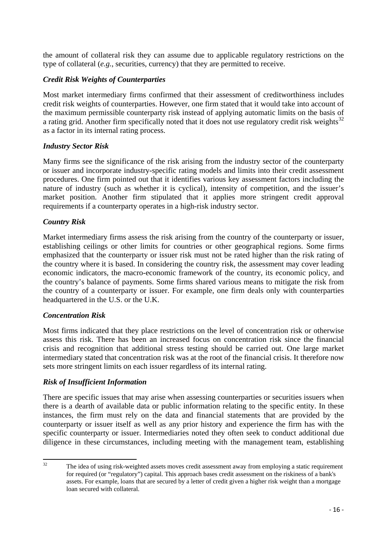the amount of collateral risk they can assume due to applicable regulatory restrictions on the type of collateral (*e.g.*, securities, currency) that they are permitted to receive.

### *Credit Risk Weights of Counterparties*

Most market intermediary firms confirmed that their assessment of creditworthiness includes credit risk weights of counterparties. However, one firm stated that it would take into account of the maximum permissible counterparty risk instead of applying automatic limits on the basis of a rating grid. Another firm specifically noted that it does not use regulatory credit risk weights $32$ as a factor in its internal rating process.

### *Industry Sector Risk*

Many firms see the significance of the risk arising from the industry sector of the counterparty or issuer and incorporate industry-specific rating models and limits into their credit assessment procedures. One firm pointed out that it identifies various key assessment factors including the nature of industry (such as whether it is cyclical), intensity of competition, and the issuer's market position. Another firm stipulated that it applies more stringent credit approval requirements if a counterparty operates in a high-risk industry sector.

#### *Country Risk*

Market intermediary firms assess the risk arising from the country of the counterparty or issuer, establishing ceilings or other limits for countries or other geographical regions. Some firms emphasized that the counterparty or issuer risk must not be rated higher than the risk rating of the country where it is based. In considering the country risk, the assessment may cover leading economic indicators, the macro-economic framework of the country, its economic policy, and the country's balance of payments. Some firms shared various means to mitigate the risk from the country of a counterparty or issuer. For example, one firm deals only with counterparties headquartered in the U.S. or the U.K.

#### *Concentration Risk*

Most firms indicated that they place restrictions on the level of concentration risk or otherwise assess this risk. There has been an increased focus on concentration risk since the financial crisis and recognition that additional stress testing should be carried out. One large market intermediary stated that concentration risk was at the root of the financial crisis. It therefore now sets more stringent limits on each issuer regardless of its internal rating.

#### *Risk of Insufficient Information*

There are specific issues that may arise when assessing counterparties or securities issuers when there is a dearth of available data or public information relating to the specific entity. In these instances, the firm must rely on the data and financial statements that are provided by the counterparty or issuer itself as well as any prior history and experience the firm has with the specific counterparty or issuer. Intermediaries noted they often seek to conduct additional due diligence in these circumstances, including meeting with the management team, establishing

<span id="page-19-0"></span> $32$ The idea of using risk-weighted assets moves credit assessment away from employing a static requirement for required (or "regulatory") capital. This approach bases credit assessment on the riskiness of a bank's assets. For example, loans that are secured by a letter of credit given a higher risk weight than a mortgage loan secured with collateral.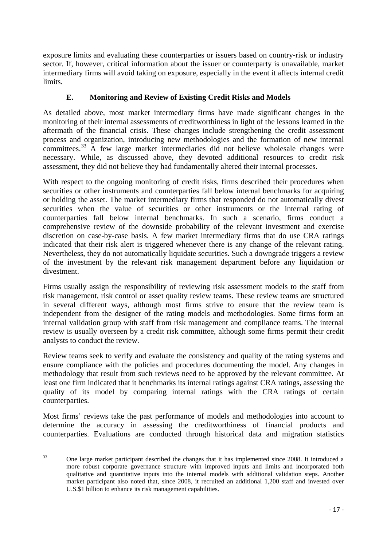exposure limits and evaluating these counterparties or issuers based on country-risk or industry sector. If, however, critical information about the issuer or counterparty is unavailable, market intermediary firms will avoid taking on exposure, especially in the event it affects internal credit limits.

### **E. Monitoring and Review of Existing Credit Risks and Models**

As detailed above, most market intermediary firms have made significant changes in the monitoring of their internal assessments of creditworthiness in light of the lessons learned in the aftermath of the financial crisis. These changes include strengthening the credit assessment process and organization, introducing new methodologies and the formation of new internal committees.[33](#page-20-0) A few large market intermediaries did not believe wholesale changes were necessary. While, as discussed above, they devoted additional resources to credit risk assessment, they did not believe they had fundamentally altered their internal processes.

With respect to the ongoing monitoring of credit risks, firms described their procedures when securities or other instruments and counterparties fall below internal benchmarks for acquiring or holding the asset. The market intermediary firms that responded do not automatically divest securities when the value of securities or other instruments or the internal rating of counterparties fall below internal benchmarks. In such a scenario, firms conduct a comprehensive review of the downside probability of the relevant investment and exercise discretion on case-by-case basis. A few market intermediary firms that do use CRA ratings indicated that their risk alert is triggered whenever there is any change of the relevant rating. Nevertheless, they do not automatically liquidate securities. Such a downgrade triggers a review of the investment by the relevant risk management department before any liquidation or divestment.

Firms usually assign the responsibility of reviewing risk assessment models to the staff from risk management, risk control or asset quality review teams. These review teams are structured in several different ways, although most firms strive to ensure that the review team is independent from the designer of the rating models and methodologies. Some firms form an internal validation group with staff from risk management and compliance teams. The internal review is usually overseen by a credit risk committee, although some firms permit their credit analysts to conduct the review.

Review teams seek to verify and evaluate the consistency and quality of the rating systems and ensure compliance with the policies and procedures documenting the model. Any changes in methodology that result from such reviews need to be approved by the relevant committee. At least one firm indicated that it benchmarks its internal ratings against CRA ratings, assessing the quality of its model by comparing internal ratings with the CRA ratings of certain counterparties.

Most firms' reviews take the past performance of models and methodologies into account to determine the accuracy in assessing the creditworthiness of financial products and counterparties. Evaluations are conducted through historical data and migration statistics

<span id="page-20-0"></span> $33$ <sup>33</sup> One large market participant described the changes that it has implemented since 2008. It introduced a more robust corporate governance structure with improved inputs and limits and incorporated both qualitative and quantitative inputs into the internal models with additional validation steps. Another market participant also noted that, since 2008, it recruited an additional 1,200 staff and invested over U.S.\$1 billion to enhance its risk management capabilities.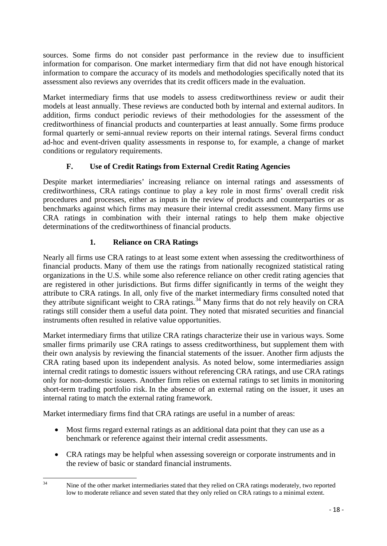sources. Some firms do not consider past performance in the review due to insufficient information for comparison. One market intermediary firm that did not have enough historical information to compare the accuracy of its models and methodologies specifically noted that its assessment also reviews any overrides that its credit officers made in the evaluation.

Market intermediary firms that use models to assess creditworthiness review or audit their models at least annually. These reviews are conducted both by internal and external auditors. In addition, firms conduct periodic reviews of their methodologies for the assessment of the creditworthiness of financial products and counterparties at least annually. Some firms produce formal quarterly or semi-annual review reports on their internal ratings. Several firms conduct ad-hoc and event-driven quality assessments in response to, for example, a change of market conditions or regulatory requirements.

### **F. Use of Credit Ratings from External Credit Rating Agencies**

Despite market intermediaries' increasing reliance on internal ratings and assessments of creditworthiness, CRA ratings continue to play a key role in most firms' overall credit risk procedures and processes, either as inputs in the review of products and counterparties or as benchmarks against which firms may measure their internal credit assessment. Many firms use CRA ratings in combination with their internal ratings to help them make objective determinations of the creditworthiness of financial products.

### **1. Reliance on CRA Ratings**

Nearly all firms use CRA ratings to at least some extent when assessing the creditworthiness of financial products. Many of them use the ratings from nationally recognized statistical rating organizations in the U.S. while some also reference reliance on other credit rating agencies that are registered in other jurisdictions. But firms differ significantly in terms of the weight they attribute to CRA ratings. In all, only five of the market intermediary firms consulted noted that they attribute significant weight to CRA ratings.<sup>[34](#page-21-0)</sup> Many firms that do not rely heavily on CRA ratings still consider them a useful data point. They noted that misrated securities and financial instruments often resulted in relative value opportunities.

Market intermediary firms that utilize CRA ratings characterize their use in various ways. Some smaller firms primarily use CRA ratings to assess creditworthiness, but supplement them with their own analysis by reviewing the financial statements of the issuer. Another firm adjusts the CRA rating based upon its independent analysis. As noted below, some intermediaries assign internal credit ratings to domestic issuers without referencing CRA ratings, and use CRA ratings only for non-domestic issuers. Another firm relies on external ratings to set limits in monitoring short-term trading portfolio risk. In the absence of an external rating on the issuer, it uses an internal rating to match the external rating framework.

Market intermediary firms find that CRA ratings are useful in a number of areas:

- Most firms regard external ratings as an additional data point that they can use as a benchmark or reference against their internal credit assessments.
- CRA ratings may be helpful when assessing sovereign or corporate instruments and in the review of basic or standard financial instruments.

<span id="page-21-0"></span> $34$ Nine of the other market intermediaries stated that they relied on CRA ratings moderately, two reported low to moderate reliance and seven stated that they only relied on CRA ratings to a minimal extent.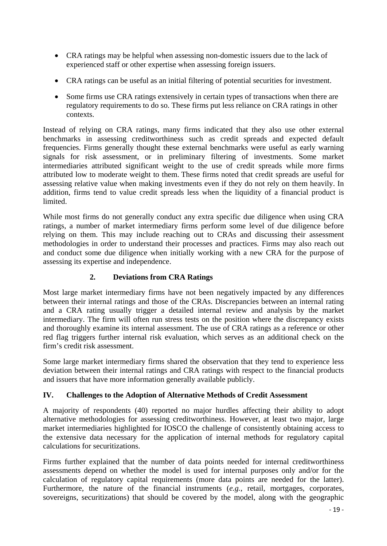- CRA ratings may be helpful when assessing non-domestic issuers due to the lack of experienced staff or other expertise when assessing foreign issuers.
- CRA ratings can be useful as an initial filtering of potential securities for investment.
- Some firms use CRA ratings extensively in certain types of transactions when there are regulatory requirements to do so. These firms put less reliance on CRA ratings in other contexts.

Instead of relying on CRA ratings, many firms indicated that they also use other external benchmarks in assessing creditworthiness such as credit spreads and expected default frequencies. Firms generally thought these external benchmarks were useful as early warning signals for risk assessment, or in preliminary filtering of investments. Some market intermediaries attributed significant weight to the use of credit spreads while more firms attributed low to moderate weight to them. These firms noted that credit spreads are useful for assessing relative value when making investments even if they do not rely on them heavily. In addition, firms tend to value credit spreads less when the liquidity of a financial product is limited.

While most firms do not generally conduct any extra specific due diligence when using CRA ratings, a number of market intermediary firms perform some level of due diligence before relying on them. This may include reaching out to CRAs and discussing their assessment methodologies in order to understand their processes and practices. Firms may also reach out and conduct some due diligence when initially working with a new CRA for the purpose of assessing its expertise and independence.

#### **2. Deviations from CRA Ratings**

Most large market intermediary firms have not been negatively impacted by any differences between their internal ratings and those of the CRAs. Discrepancies between an internal rating and a CRA rating usually trigger a detailed internal review and analysis by the market intermediary. The firm will often run stress tests on the position where the discrepancy exists and thoroughly examine its internal assessment. The use of CRA ratings as a reference or other red flag triggers further internal risk evaluation, which serves as an additional check on the firm's credit risk assessment.

Some large market intermediary firms shared the observation that they tend to experience less deviation between their internal ratings and CRA ratings with respect to the financial products and issuers that have more information generally available publicly.

#### **IV. Challenges to the Adoption of Alternative Methods of Credit Assessment**

A majority of respondents (40) reported no major hurdles affecting their ability to adopt alternative methodologies for assessing creditworthiness. However, at least two major, large market intermediaries highlighted for IOSCO the challenge of consistently obtaining access to the extensive data necessary for the application of internal methods for regulatory capital calculations for securitizations.

Firms further explained that the number of data points needed for internal creditworthiness assessments depend on whether the model is used for internal purposes only and/or for the calculation of regulatory capital requirements (more data points are needed for the latter). Furthermore, the nature of the financial instruments (*e.g.*, retail, mortgages, corporates, sovereigns, securitizations) that should be covered by the model, along with the geographic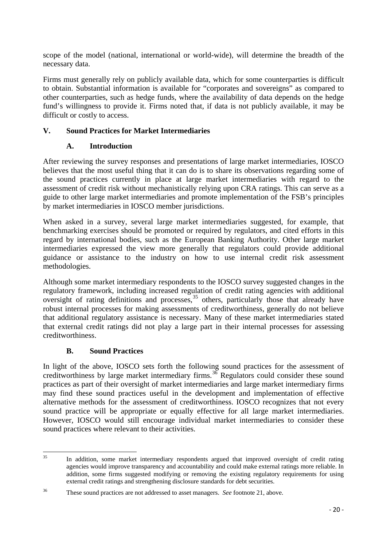scope of the model (national, international or world-wide), will determine the breadth of the necessary data.

Firms must generally rely on publicly available data, which for some counterparties is difficult to obtain. Substantial information is available for "corporates and sovereigns" as compared to other counterparties, such as hedge funds, where the availability of data depends on the hedge fund's willingness to provide it. Firms noted that, if data is not publicly available, it may be difficult or costly to access.

### **V. Sound Practices for Market Intermediaries**

### **A. Introduction**

After reviewing the survey responses and presentations of large market intermediaries, IOSCO believes that the most useful thing that it can do is to share its observations regarding some of the sound practices currently in place at large market intermediaries with regard to the assessment of credit risk without mechanistically relying upon CRA ratings. This can serve as a guide to other large market intermediaries and promote implementation of the FSB's principles by market intermediaries in IOSCO member jurisdictions.

When asked in a survey, several large market intermediaries suggested, for example, that benchmarking exercises should be promoted or required by regulators, and cited efforts in this regard by international bodies, such as the European Banking Authority. Other large market intermediaries expressed the view more generally that regulators could provide additional guidance or assistance to the industry on how to use internal credit risk assessment methodologies.

Although some market intermediary respondents to the IOSCO survey suggested changes in the regulatory framework, including increased regulation of credit rating agencies with additional oversight of rating definitions and processes,<sup>[35](#page-23-0)</sup> others, particularly those that already have robust internal processes for making assessments of creditworthiness, generally do not believe that additional regulatory assistance is necessary. Many of these market intermediaries stated that external credit ratings did not play a large part in their internal processes for assessing creditworthiness.

### **B. Sound Practices**

In light of the above, IOSCO sets forth the following sound practices for the assessment of creditworthiness by large market intermediary firms.<sup>[36](#page-23-1)</sup> Regulators could consider these sound practices as part of their oversight of market intermediaries and large market intermediary firms may find these sound practices useful in the development and implementation of effective alternative methods for the assessment of creditworthiness. IOSCO recognizes that not every sound practice will be appropriate or equally effective for all large market intermediaries. However, IOSCO would still encourage individual market intermediaries to consider these sound practices where relevant to their activities.

<span id="page-23-0"></span> $35$ In addition, some market intermediary respondents argued that improved oversight of credit rating agencies would improve transparency and accountability and could make external ratings more reliable. In addition, some firms suggested modifying or removing the existing regulatory requirements for using external credit ratings and strengthening disclosure standards for debt securities.

<span id="page-23-1"></span><sup>36</sup> These sound practices are not addressed to asset managers. *See* footnote 21, above.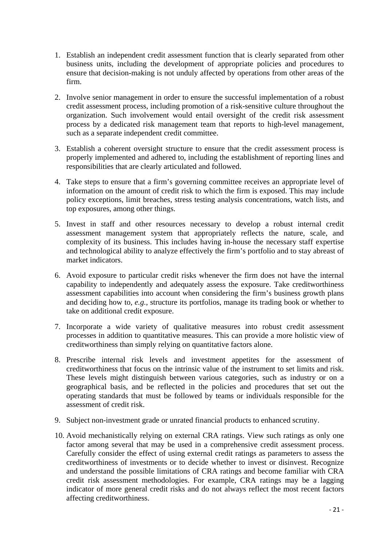- 1. Establish an independent credit assessment function that is clearly separated from other business units, including the development of appropriate policies and procedures to ensure that decision-making is not unduly affected by operations from other areas of the firm.
- 2. Involve senior management in order to ensure the successful implementation of a robust credit assessment process, including promotion of a risk-sensitive culture throughout the organization. Such involvement would entail oversight of the credit risk assessment process by a dedicated risk management team that reports to high-level management, such as a separate independent credit committee.
- 3. Establish a coherent oversight structure to ensure that the credit assessment process is properly implemented and adhered to, including the establishment of reporting lines and responsibilities that are clearly articulated and followed.
- 4. Take steps to ensure that a firm's governing committee receives an appropriate level of information on the amount of credit risk to which the firm is exposed. This may include policy exceptions, limit breaches, stress testing analysis concentrations, watch lists, and top exposures, among other things.
- 5. Invest in staff and other resources necessary to develop a robust internal credit assessment management system that appropriately reflects the nature, scale, and complexity of its business. This includes having in-house the necessary staff expertise and technological ability to analyze effectively the firm's portfolio and to stay abreast of market indicators.
- 6. Avoid exposure to particular credit risks whenever the firm does not have the internal capability to independently and adequately assess the exposure. Take creditworthiness assessment capabilities into account when considering the firm's business growth plans and deciding how to, *e.g.*, structure its portfolios, manage its trading book or whether to take on additional credit exposure.
- 7. Incorporate a wide variety of qualitative measures into robust credit assessment processes in addition to quantitative measures. This can provide a more holistic view of creditworthiness than simply relying on quantitative factors alone.
- 8. Prescribe internal risk levels and investment appetites for the assessment of creditworthiness that focus on the intrinsic value of the instrument to set limits and risk. These levels might distinguish between various categories, such as industry or on a geographical basis, and be reflected in the policies and procedures that set out the operating standards that must be followed by teams or individuals responsible for the assessment of credit risk.
- 9. Subject non-investment grade or unrated financial products to enhanced scrutiny.
- 10. Avoid mechanistically relying on external CRA ratings. View such ratings as only one factor among several that may be used in a comprehensive credit assessment process. Carefully consider the effect of using external credit ratings as parameters to assess the creditworthiness of investments or to decide whether to invest or disinvest. Recognize and understand the possible limitations of CRA ratings and become familiar with CRA credit risk assessment methodologies. For example, CRA ratings may be a lagging indicator of more general credit risks and do not always reflect the most recent factors affecting creditworthiness.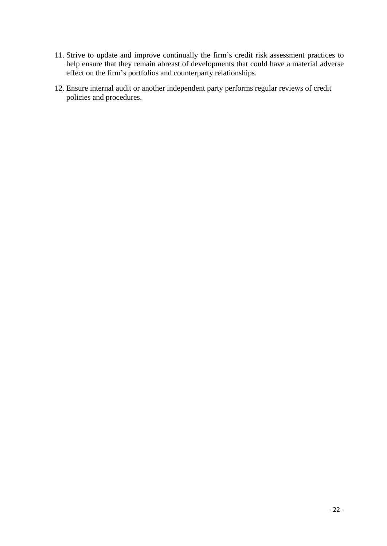- 11. Strive to update and improve continually the firm's credit risk assessment practices to help ensure that they remain abreast of developments that could have a material adverse effect on the firm's portfolios and counterparty relationships.
- 12. Ensure internal audit or another independent party performs regular reviews of credit policies and procedures.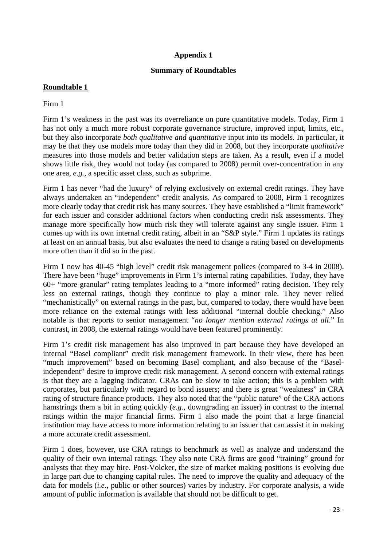#### **Appendix 1**

#### **Summary of Roundtables**

#### **Roundtable 1**

#### Firm 1

Firm 1's weakness in the past was its overreliance on pure quantitative models. Today, Firm 1 has not only a much more robust corporate governance structure, improved input, limits, etc., but they also incorporate *both qualitative and quantitative* input into its models. In particular, it may be that they use models more today than they did in 2008, but they incorporate *qualitative*  measures into those models and better validation steps are taken. As a result, even if a model shows little risk, they would not today (as compared to 2008) permit over-concentration in any one area, *e.g.*, a specific asset class, such as subprime.

Firm 1 has never "had the luxury" of relying exclusively on external credit ratings. They have always undertaken an "independent" credit analysis. As compared to 2008, Firm 1 recognizes more clearly today that credit risk has many sources. They have established a "limit framework" for each issuer and consider additional factors when conducting credit risk assessments. They manage more specifically how much risk they will tolerate against any single issuer. Firm 1 comes up with its own internal credit rating, albeit in an "S&P style." Firm 1 updates its ratings at least on an annual basis, but also evaluates the need to change a rating based on developments more often than it did so in the past.

Firm 1 now has 40-45 "high level" credit risk management polices (compared to 3-4 in 2008). There have been "huge" improvements in Firm 1's internal rating capabilities. Today, they have 60+ "more granular" rating templates leading to a "more informed" rating decision. They rely less on external ratings, though they continue to play a minor role. They never relied "mechanistically" on external ratings in the past, but, compared to today, there would have been more reliance on the external ratings with less additional "internal double checking." Also notable is that reports to senior management "*no longer mention external ratings at all*." In contrast, in 2008, the external ratings would have been featured prominently.

Firm 1's credit risk management has also improved in part because they have developed an internal "Basel compliant" credit risk management framework. In their view, there has been "much improvement" based on becoming Basel compliant, and also because of the "Baselindependent" desire to improve credit risk management. A second concern with external ratings is that they are a lagging indicator. CRAs can be slow to take action; this is a problem with corporates, but particularly with regard to bond issuers; and there is great "weakness" in CRA rating of structure finance products. They also noted that the "public nature" of the CRA actions hamstrings them a bit in acting quickly (*e.g.*, downgrading an issuer) in contrast to the internal ratings within the major financial firms. Firm 1 also made the point that a large financial institution may have access to more information relating to an issuer that can assist it in making a more accurate credit assessment.

Firm 1 does, however, use CRA ratings to benchmark as well as analyze and understand the quality of their own internal ratings. They also note CRA firms are good "training" ground for analysts that they may hire. Post-Volcker, the size of market making positions is evolving due in large part due to changing capital rules. The need to improve the quality and adequacy of the data for models (*i.e.*, public or other sources) varies by industry. For corporate analysis, a wide amount of public information is available that should not be difficult to get.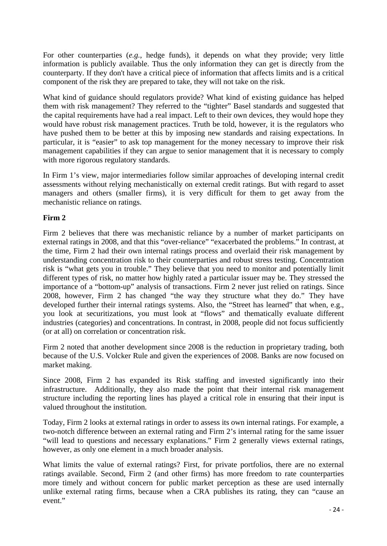For other counterparties (*e.g.*, hedge funds), it depends on what they provide; very little information is publicly available. Thus the only information they can get is directly from the counterparty. If they don't have a critical piece of information that affects limits and is a critical component of the risk they are prepared to take, they will not take on the risk.

What kind of guidance should regulators provide? What kind of existing guidance has helped them with risk management? They referred to the "tighter" Basel standards and suggested that the capital requirements have had a real impact. Left to their own devices, they would hope they would have robust risk management practices. Truth be told, however, it is the regulators who have pushed them to be better at this by imposing new standards and raising expectations. In particular, it is "easier" to ask top management for the money necessary to improve their risk management capabilities if they can argue to senior management that it is necessary to comply with more rigorous regulatory standards.

In Firm 1's view, major intermediaries follow similar approaches of developing internal credit assessments without relying mechanistically on external credit ratings. But with regard to asset managers and others (smaller firms), it is very difficult for them to get away from the mechanistic reliance on ratings.

### **Firm 2**

Firm 2 believes that there was mechanistic reliance by a number of market participants on external ratings in 2008, and that this "over-reliance" "exacerbated the problems." In contrast, at the time, Firm 2 had their own internal ratings process and overlaid their risk management by understanding concentration risk to their counterparties and robust stress testing. Concentration risk is "what gets you in trouble." They believe that you need to monitor and potentially limit different types of risk, no matter how highly rated a particular issuer may be. They stressed the importance of a "bottom-up" analysis of transactions. Firm 2 never just relied on ratings. Since 2008, however, Firm 2 has changed "the way they structure what they do." They have developed further their internal ratings systems. Also, the "Street has learned" that when, e.g., you look at securitizations, you must look at "flows" and thematically evaluate different industries (categories) and concentrations. In contrast, in 2008, people did not focus sufficiently (or at all) on correlation or concentration risk.

Firm 2 noted that another development since 2008 is the reduction in proprietary trading, both because of the U.S. Volcker Rule and given the experiences of 2008. Banks are now focused on market making.

Since 2008, Firm 2 has expanded its Risk staffing and invested significantly into their infrastructure. Additionally, they also made the point that their internal risk management structure including the reporting lines has played a critical role in ensuring that their input is valued throughout the institution.

Today, Firm 2 looks at external ratings in order to assess its own internal ratings. For example, a two-notch difference between an external rating and Firm 2's internal rating for the same issuer "will lead to questions and necessary explanations." Firm 2 generally views external ratings, however, as only one element in a much broader analysis.

What limits the value of external ratings? First, for private portfolios, there are no external ratings available. Second, Firm 2 (and other firms) has more freedom to rate counterparties more timely and without concern for public market perception as these are used internally unlike external rating firms, because when a CRA publishes its rating, they can "cause an event."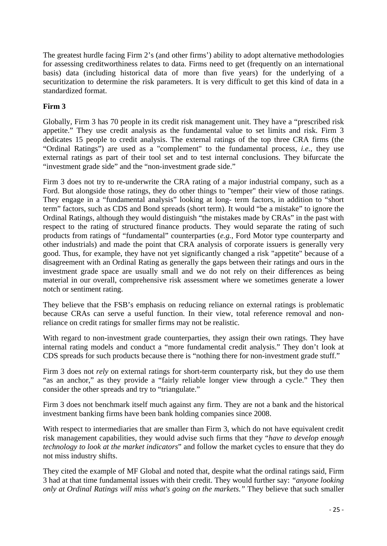The greatest hurdle facing Firm 2's (and other firms') ability to adopt alternative methodologies for assessing creditworthiness relates to data. Firms need to get (frequently on an international basis) data (including historical data of more than five years) for the underlying of a securitization to determine the risk parameters. It is very difficult to get this kind of data in a standardized format.

### **Firm 3**

Globally, Firm 3 has 70 people in its credit risk management unit. They have a "prescribed risk appetite." They use credit analysis as the fundamental value to set limits and risk. Firm 3 dedicates 15 people to credit analysis. The external ratings of the top three CRA firms (the "Ordinal Ratings") are used as a "complement" to the fundamental process, *i.e.,* they use external ratings as part of their tool set and to test internal conclusions. They bifurcate the "investment grade side" and the "non-investment grade side."

Firm 3 does not try to re-underwrite the CRA rating of a major industrial company, such as a Ford. But alongside those ratings, they do other things to "temper" their view of those ratings. They engage in a "fundamental analysis" looking at long- term factors, in addition to "short term" factors, such as CDS and Bond spreads (short term). It would "be a mistake" to ignore the Ordinal Ratings, although they would distinguish "the mistakes made by CRAs" in the past with respect to the rating of structured finance products. They would separate the rating of such products from ratings of "fundamental" counterparties (*e.g.*, Ford Motor type counterparty and other industrials) and made the point that CRA analysis of corporate issuers is generally very good. Thus, for example, they have not yet significantly changed a risk "appetite" because of a disagreement with an Ordinal Rating as generally the gaps between their ratings and ours in the investment grade space are usually small and we do not rely on their differences as being material in our overall, comprehensive risk assessment where we sometimes generate a lower notch or sentiment rating.

They believe that the FSB's emphasis on reducing reliance on external ratings is problematic because CRAs can serve a useful function. In their view, total reference removal and nonreliance on credit ratings for smaller firms may not be realistic.

With regard to non-investment grade counterparties, they assign their own ratings. They have internal rating models and conduct a "more fundamental credit analysis." They don't look at CDS spreads for such products because there is "nothing there for non-investment grade stuff."

Firm 3 does not *rely* on external ratings for short-term counterparty risk, but they do use them "as an anchor," as they provide a "fairly reliable longer view through a cycle." They then consider the other spreads and try to "triangulate."

Firm 3 does not benchmark itself much against any firm. They are not a bank and the historical investment banking firms have been bank holding companies since 2008.

With respect to intermediaries that are smaller than Firm 3, which do not have equivalent credit risk management capabilities, they would advise such firms that they "*have to develop enough technology to look at the market indicators*" and follow the market cycles to ensure that they do not miss industry shifts.

They cited the example of MF Global and noted that, despite what the ordinal ratings said, Firm 3 had at that time fundamental issues with their credit. They would further say: *"anyone looking only at Ordinal Ratings will miss what's going on the markets."* They believe that such smaller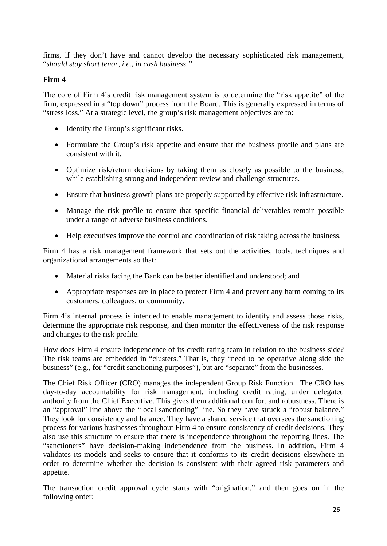firms, if they don't have and cannot develop the necessary sophisticated risk management, "*should stay short tenor, i.e., in cash business."*

#### **Firm 4**

The core of Firm 4's credit risk management system is to determine the "risk appetite" of the firm, expressed in a "top down" process from the Board. This is generally expressed in terms of "stress loss." At a strategic level, the group's risk management objectives are to:

- Identify the Group's significant risks.
- Formulate the Group's risk appetite and ensure that the business profile and plans are consistent with it.
- Optimize risk/return decisions by taking them as closely as possible to the business, while establishing strong and independent review and challenge structures.
- Ensure that business growth plans are properly supported by effective risk infrastructure.
- Manage the risk profile to ensure that specific financial deliverables remain possible under a range of adverse business conditions.
- Help executives improve the control and coordination of risk taking across the business.

Firm 4 has a risk management framework that sets out the activities, tools, techniques and organizational arrangements so that:

- Material risks facing the Bank can be better identified and understood; and
- Appropriate responses are in place to protect Firm 4 and prevent any harm coming to its customers, colleagues, or community.

Firm 4's internal process is intended to enable management to identify and assess those risks, determine the appropriate risk response, and then monitor the effectiveness of the risk response and changes to the risk profile.

How does Firm 4 ensure independence of its credit rating team in relation to the business side? The risk teams are embedded in "clusters." That is, they "need to be operative along side the business" (e.g., for "credit sanctioning purposes"), but are "separate" from the businesses.

The Chief Risk Officer (CRO) manages the independent Group Risk Function. The CRO has day-to-day accountability for risk management, including credit rating, under delegated authority from the Chief Executive. This gives them additional comfort and robustness. There is an "approval" line above the "local sanctioning" line. So they have struck a "robust balance." They look for consistency and balance. They have a shared service that oversees the sanctioning process for various businesses throughout Firm 4 to ensure consistency of credit decisions. They also use this structure to ensure that there is independence throughout the reporting lines. The "sanctioners" have decision-making independence from the business. In addition, Firm 4 validates its models and seeks to ensure that it conforms to its credit decisions elsewhere in order to determine whether the decision is consistent with their agreed risk parameters and appetite.

The transaction credit approval cycle starts with "origination," and then goes on in the following order: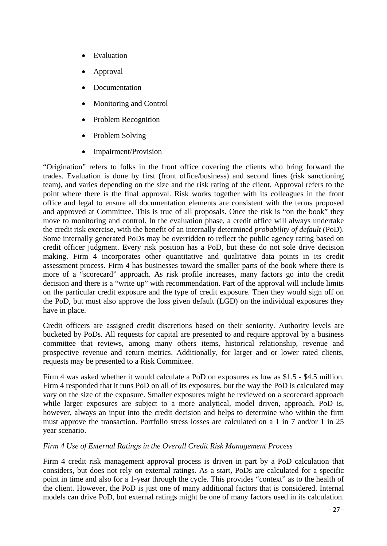- Evaluation
- Approval
- Documentation
- Monitoring and Control
- Problem Recognition
- Problem Solving
- Impairment/Provision

"Origination" refers to folks in the front office covering the clients who bring forward the trades. Evaluation is done by first (front office/business) and second lines (risk sanctioning team), and varies depending on the size and the risk rating of the client. Approval refers to the point where there is the final approval. Risk works together with its colleagues in the front office and legal to ensure all documentation elements are consistent with the terms proposed and approved at Committee. This is true of all proposals. Once the risk is "on the book" they move to monitoring and control. In the evaluation phase, a credit office will always undertake the credit risk exercise, with the benefit of an internally determined *probability of default* (PoD). Some internally generated PoDs may be overridden to reflect the public agency rating based on credit officer judgment. Every risk position has a PoD, but these do not sole drive decision making. Firm 4 incorporates other quantitative and qualitative data points in its credit assessment process. Firm 4 has businesses toward the smaller parts of the book where there is more of a "scorecard" approach. As risk profile increases, many factors go into the credit decision and there is a "write up" with recommendation. Part of the approval will include limits on the particular credit exposure and the type of credit exposure. Then they would sign off on the PoD, but must also approve the loss given default (LGD) on the individual exposures they have in place.

Credit officers are assigned credit discretions based on their seniority. Authority levels are bucketed by PoDs. All requests for capital are presented to and require approval by a business committee that reviews, among many others items, historical relationship, revenue and prospective revenue and return metrics. Additionally, for larger and or lower rated clients, requests may be presented to a Risk Committee.

Firm 4 was asked whether it would calculate a PoD on exposures as low as \$1.5 - \$4.5 million. Firm 4 responded that it runs PoD on all of its exposures, but the way the PoD is calculated may vary on the size of the exposure. Smaller exposures might be reviewed on a scorecard approach while larger exposures are subject to a more analytical, model driven, approach. PoD is, however, always an input into the credit decision and helps to determine who within the firm must approve the transaction. Portfolio stress losses are calculated on a 1 in 7 and/or 1 in 25 year scenario.

#### *Firm 4 Use of External Ratings in the Overall Credit Risk Management Process*

Firm 4 credit risk management approval process is driven in part by a PoD calculation that considers, but does not rely on external ratings. As a start, PoDs are calculated for a specific point in time and also for a 1-year through the cycle. This provides "context" as to the health of the client. However, the PoD is just one of many additional factors that is considered. Internal models can drive PoD, but external ratings might be one of many factors used in its calculation.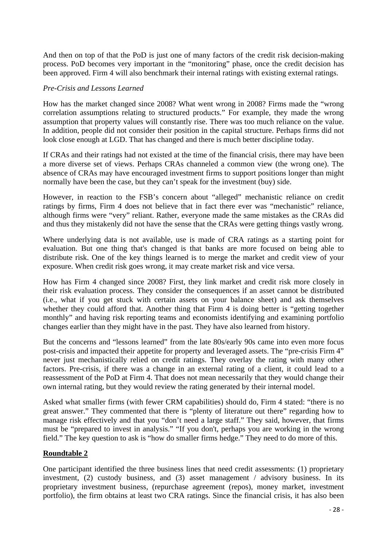And then on top of that the PoD is just one of many factors of the credit risk decision-making process. PoD becomes very important in the "monitoring" phase, once the credit decision has been approved. Firm 4 will also benchmark their internal ratings with existing external ratings.

#### *Pre-Crisis and Lessons Learned*

How has the market changed since 2008? What went wrong in 2008? Firms made the "wrong correlation assumptions relating to structured products." For example, they made the wrong assumption that property values will constantly rise. There was too much reliance on the value. In addition, people did not consider their position in the capital structure. Perhaps firms did not look close enough at LGD. That has changed and there is much better discipline today.

If CRAs and their ratings had not existed at the time of the financial crisis, there may have been a more diverse set of views. Perhaps CRAs channeled a common view (the wrong one). The absence of CRAs may have encouraged investment firms to support positions longer than might normally have been the case, but they can't speak for the investment (buy) side.

However, in reaction to the FSB's concern about "alleged" mechanistic reliance on credit ratings by firms, Firm 4 does not believe that in fact there ever was "mechanistic" reliance, although firms were "very" reliant. Rather, everyone made the same mistakes as the CRAs did and thus they mistakenly did not have the sense that the CRAs were getting things vastly wrong.

Where underlying data is not available, use is made of CRA ratings as a starting point for evaluation. But one thing that's changed is that banks are more focused on being able to distribute risk. One of the key things learned is to merge the market and credit view of your exposure. When credit risk goes wrong, it may create market risk and vice versa.

How has Firm 4 changed since 2008? First, they link market and credit risk more closely in their risk evaluation process. They consider the consequences if an asset cannot be distributed (i.e., what if you get stuck with certain assets on your balance sheet) and ask themselves whether they could afford that. Another thing that Firm 4 is doing better is "getting together monthly" and having risk reporting teams and economists identifying and examining portfolio changes earlier than they might have in the past. They have also learned from history.

But the concerns and "lessons learned" from the late 80s/early 90s came into even more focus post-crisis and impacted their appetite for property and leveraged assets. The "pre-crisis Firm 4" never just mechanistically relied on credit ratings. They overlay the rating with many other factors. Pre-crisis, if there was a change in an external rating of a client, it could lead to a reassessment of the PoD at Firm 4. That does not mean necessarily that they would change their own internal rating, but they would review the rating generated by their internal model.

Asked what smaller firms (with fewer CRM capabilities) should do, Firm 4 stated: "there is no great answer." They commented that there is "plenty of literature out there" regarding how to manage risk effectively and that you "don't need a large staff." They said, however, that firms must be "prepared to invest in analysis." "If you don't, perhaps you are working in the wrong field." The key question to ask is "how do smaller firms hedge." They need to do more of this.

#### **Roundtable 2**

One participant identified the three business lines that need credit assessments: (1) proprietary investment, (2) custody business, and (3) asset management / advisory business. In its proprietary investment business, (repurchase agreement (repos), money market, investment portfolio), the firm obtains at least two CRA ratings. Since the financial crisis, it has also been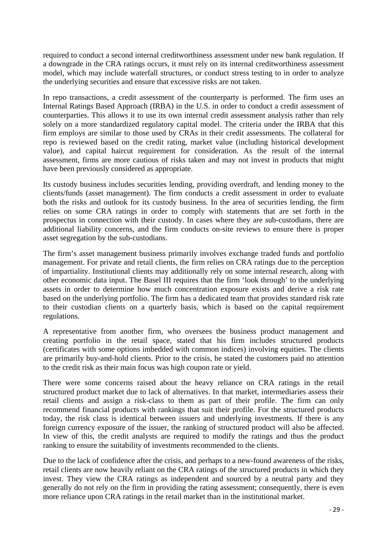required to conduct a second internal creditworthiness assessment under new bank regulation. If a downgrade in the CRA ratings occurs, it must rely on its internal creditworthiness assessment model, which may include waterfall structures, or conduct stress testing to in order to analyze the underlying securities and ensure that excessive risks are not taken.

In repo transactions, a credit assessment of the counterparty is performed. The firm uses an Internal Ratings Based Approach (IRBA) in the U.S. in order to conduct a credit assessment of counterparties. This allows it to use its own internal credit assessment analysis rather than rely solely on a more standardized regulatory capital model. The criteria under the IRBA that this firm employs are similar to those used by CRAs in their credit assessments. The collateral for repo is reviewed based on the credit rating, market value (including historical development value), and capital haircut requirement for consideration. As the result of the internal assessment, firms are more cautious of risks taken and may not invest in products that might have been previously considered as appropriate.

Its custody business includes securities lending, providing overdraft, and lending money to the clients/funds (asset management). The firm conducts a credit assessment in order to evaluate both the risks and outlook for its custody business. In the area of securities lending, the firm relies on some CRA ratings in order to comply with statements that are set forth in the prospectus in connection with their custody. In cases where they are sub-custodians, there are additional liability concerns, and the firm conducts on-site reviews to ensure there is proper asset segregation by the sub-custodians.

The firm's asset management business primarily involves exchange traded funds and portfolio management. For private and retail clients, the firm relies on CRA ratings due to the perception of impartiality. Institutional clients may additionally rely on some internal research, along with other economic data input. The Basel III requires that the firm 'look through' to the underlying assets in order to determine how much concentration exposure exists and derive a risk rate based on the underlying portfolio. The firm has a dedicated team that provides standard risk rate to their custodian clients on a quarterly basis, which is based on the capital requirement regulations.

A representative from another firm, who oversees the business product management and creating portfolio in the retail space, stated that his firm includes structured products (certificates with some options imbedded with common indices) involving equities. The clients are primarily buy-and-hold clients. Prior to the crisis, he stated the customers paid no attention to the credit risk as their main focus was high coupon rate or yield.

There were some concerns raised about the heavy reliance on CRA ratings in the retail structured product market due to lack of alternatives. In that market, intermediaries assess their retail clients and assign a risk-class to them as part of their profile. The firm can only recommend financial products with rankings that suit their profile. For the structured products today, the risk class is identical between issuers and underlying investments. If there is any foreign currency exposure of the issuer, the ranking of structured product will also be affected. In view of this, the credit analysts are required to modify the ratings and thus the product ranking to ensure the suitability of investments recommended to the clients.

Due to the lack of confidence after the crisis, and perhaps to a new-found awareness of the risks, retail clients are now heavily reliant on the CRA ratings of the structured products in which they invest. They view the CRA ratings as independent and sourced by a neutral party and they generally do not rely on the firm in providing the rating assessment; consequently, there is even more reliance upon CRA ratings in the retail market than in the institutional market.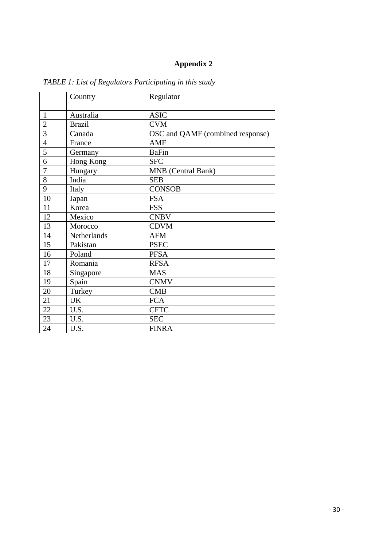## **Appendix 2**

|                | Country       | Regulator                        |
|----------------|---------------|----------------------------------|
|                |               |                                  |
| $\mathbf{1}$   | Australia     | <b>ASIC</b>                      |
| $\overline{2}$ | <b>Brazil</b> | <b>CVM</b>                       |
| $\overline{3}$ | Canada        | OSC and QAMF (combined response) |
| $\overline{4}$ | France        | <b>AMF</b>                       |
| 5              | Germany       | <b>BaFin</b>                     |
| 6              | Hong Kong     | <b>SFC</b>                       |
| $\overline{7}$ | Hungary       | MNB (Central Bank)               |
| 8              | India         | <b>SEB</b>                       |
| 9              | Italy         | <b>CONSOB</b>                    |
| 10             | Japan         | <b>FSA</b>                       |
| 11             | Korea         | <b>FSS</b>                       |
| 12             | Mexico        | <b>CNBV</b>                      |
| 13             | Morocco       | <b>CDVM</b>                      |
| 14             | Netherlands   | <b>AFM</b>                       |
| 15             | Pakistan      | <b>PSEC</b>                      |
| 16             | Poland        | <b>PFSA</b>                      |
| 17             | Romania       | <b>RFSA</b>                      |
| 18             | Singapore     | <b>MAS</b>                       |
| 19             | Spain         | <b>CNMV</b>                      |
| 20             | Turkey        | <b>CMB</b>                       |
| 21             | <b>UK</b>     | <b>FCA</b>                       |
| 22             | U.S.          | <b>CFTC</b>                      |
| 23             | U.S.          | <b>SEC</b>                       |
| 24             | U.S.          | <b>FINRA</b>                     |

*TABLE 1: List of Regulators Participating in this study*